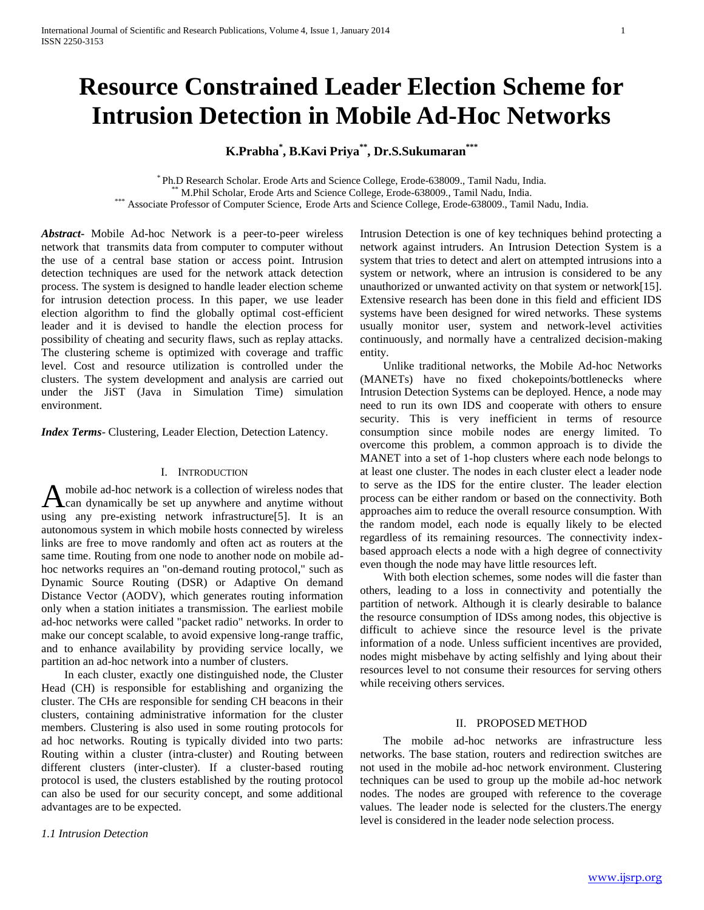# **Resource Constrained Leader Election Scheme for Intrusion Detection in Mobile Ad-Hoc Networks**

**K.Prabha\* , B.Kavi Priya\*\* , Dr.S.Sukumaran\*\*\***

\* Ph.D Research Scholar. Erode Arts and Science College, Erode-638009., Tamil Nadu, India. M.Phil Scholar, Erode Arts and Science College, Erode-638009., Tamil Nadu, India. \*\*\* Associate Professor of Computer Science, Erode Arts and Science College, Erode-638009., Tamil Nadu, India.

*Abstract***-** Mobile Ad-hoc Network is a peer-to-peer wireless network that transmits data from computer to computer without the use of a central base station or access point. Intrusion detection techniques are used for the network attack detection process. The system is designed to handle leader election scheme for intrusion detection process. In this paper, we use leader election algorithm to find the globally optimal cost-efficient leader and it is devised to handle the election process for possibility of cheating and security flaws, such as replay attacks. The clustering scheme is optimized with coverage and traffic level. Cost and resource utilization is controlled under the clusters. The system development and analysis are carried out under the JiST (Java in Simulation Time) simulation environment.

*Index Terms*- Clustering, Leader Election, Detection Latency.

#### I. INTRODUCTION

mobile ad-hoc network is a collection of wireless nodes that A mobile ad-hoc network is a collection of wireless nodes that<br>A can dynamically be set up anywhere and anytime without using any pre-existing network infrastructure[5]. It is an autonomous system in which mobile hosts connected by wireless links are free to move randomly and often act as routers at the same time. Routing from one node to another node on mobile adhoc networks requires an "on-demand routing protocol," such as Dynamic Source Routing (DSR) or Adaptive On demand Distance Vector (AODV), which generates routing information only when a station initiates a transmission. The earliest mobile ad-hoc networks were called "packet radio" networks. In order to make our concept scalable, to avoid expensive long-range traffic, and to enhance availability by providing service locally, we partition an ad-hoc network into a number of clusters.

 In each cluster, exactly one distinguished node, the Cluster Head (CH) is responsible for establishing and organizing the cluster. The CHs are responsible for sending CH beacons in their clusters, containing administrative information for the cluster members. Clustering is also used in some routing protocols for ad hoc networks. Routing is typically divided into two parts: Routing within a cluster (intra-cluster) and Routing between different clusters (inter-cluster). If a cluster-based routing protocol is used, the clusters established by the routing protocol can also be used for our security concept, and some additional advantages are to be expected.

*1.1 Intrusion Detection*

Intrusion Detection is one of key techniques behind protecting a network against intruders. An Intrusion Detection System is a system that tries to detect and alert on attempted intrusions into a system or network, where an intrusion is considered to be any unauthorized or unwanted activity on that system or network[15]. Extensive research has been done in this field and efficient IDS systems have been designed for wired networks. These systems usually monitor user, system and network-level activities continuously, and normally have a centralized decision-making entity.

 Unlike traditional networks, the Mobile Ad-hoc Networks (MANETs) have no fixed chokepoints/bottlenecks where Intrusion Detection Systems can be deployed. Hence, a node may need to run its own IDS and cooperate with others to ensure security. This is very inefficient in terms of resource consumption since mobile nodes are energy limited. To overcome this problem, a common approach is to divide the MANET into a set of 1-hop clusters where each node belongs to at least one cluster. The nodes in each cluster elect a leader node to serve as the IDS for the entire cluster. The leader election process can be either random or based on the connectivity. Both approaches aim to reduce the overall resource consumption. With the random model, each node is equally likely to be elected regardless of its remaining resources. The connectivity indexbased approach elects a node with a high degree of connectivity even though the node may have little resources left.

 With both election schemes, some nodes will die faster than others, leading to a loss in connectivity and potentially the partition of network. Although it is clearly desirable to balance the resource consumption of IDSs among nodes, this objective is difficult to achieve since the resource level is the private information of a node. Unless sufficient incentives are provided, nodes might misbehave by acting selfishly and lying about their resources level to not consume their resources for serving others while receiving others services.

## II. PROPOSED METHOD

 The mobile ad-hoc networks are infrastructure less networks. The base station, routers and redirection switches are not used in the mobile ad-hoc network environment. Clustering techniques can be used to group up the mobile ad-hoc network nodes. The nodes are grouped with reference to the coverage values. The leader node is selected for the clusters.The energy level is considered in the leader node selection process.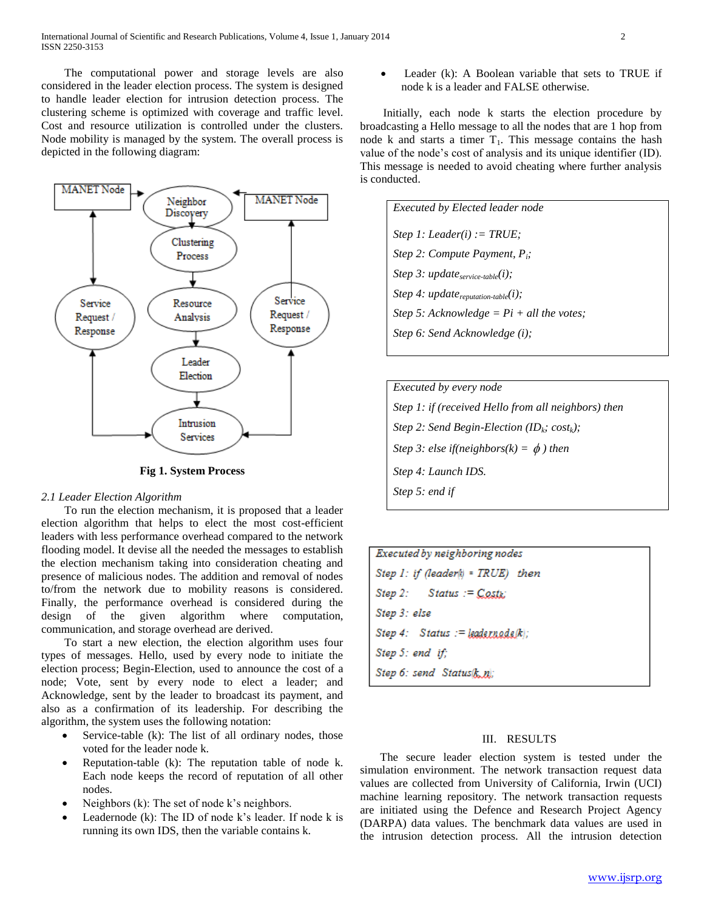The computational power and storage levels are also considered in the leader election process. The system is designed to handle leader election for intrusion detection process. The clustering scheme is optimized with coverage and traffic level. Cost and resource utilization is controlled under the clusters. Node mobility is managed by the system. The overall process is depicted in the following diagram:



**Fig 1. System Process**

# *2.1 Leader Election Algorithm*

 To run the election mechanism, it is proposed that a leader election algorithm that helps to elect the most cost-efficient leaders with less performance overhead compared to the network flooding model. It devise all the needed the messages to establish the election mechanism taking into consideration cheating and presence of malicious nodes. The addition and removal of nodes to/from the network due to mobility reasons is considered. Finally, the performance overhead is considered during the design of the given algorithm where computation, communication, and storage overhead are derived.

 To start a new election, the election algorithm uses four types of messages. Hello, used by every node to initiate the election process; Begin-Election, used to announce the cost of a node; Vote, sent by every node to elect a leader; and Acknowledge, sent by the leader to broadcast its payment, and also as a confirmation of its leadership. For describing the algorithm, the system uses the following notation:

- Service-table (k): The list of all ordinary nodes, those voted for the leader node k.
- Reputation-table (k): The reputation table of node k. Each node keeps the record of reputation of all other nodes.
- Neighbors (k): The set of node k's neighbors.
- Leadernode (k): The ID of node k's leader. If node k is running its own IDS, then the variable contains k.

 Leader (k): A Boolean variable that sets to TRUE if node k is a leader and FALSE otherwise.

 Initially, each node k starts the election procedure by broadcasting a Hello message to all the nodes that are 1 hop from node k and starts a timer  $T_1$ . This message contains the hash value of the node's cost of analysis and its unique identifier (ID). This message is needed to avoid cheating where further analysis is conducted.

*Executed by Elected leader node Step 1: Leader(i) := TRUE; Step 2: Compute Payment, Pi; Step 3: updateservice-table(i); Step 4: updatereputation-table(i); Step 5: Acknowledge = Pi + all the votes; Step 6: Send Acknowledge (i);*

| <i>Executed by every node</i>                                       |
|---------------------------------------------------------------------|
| Step 1: if (received Hello from all neighbors) then                 |
| Step 2: Send Begin-Election (ID <sub>k</sub> ; cost <sub>k</sub> ); |
| Step 3: else if(neighbors(k) = $\phi$ ) then                        |
| Step 4: Launch IDS.                                                 |
| Step 5: end if                                                      |
|                                                                     |

| Executed by neighboring nodes           |  |  |
|-----------------------------------------|--|--|
| $Step 1:$ if (leader(k) = $TRUE$ ) then |  |  |
| Step 2: Status := $Costx$               |  |  |
| Step 3: else                            |  |  |
| Step 4: Status := leadernade(k);        |  |  |
| Step 5: end if;                         |  |  |
| Step 6: send Status $k, n$ ;            |  |  |

## III. RESULTS

 The secure leader election system is tested under the simulation environment. The network transaction request data values are collected from University of California, Irwin (UCI) machine learning repository. The network transaction requests are initiated using the Defence and Research Project Agency (DARPA) data values. The benchmark data values are used in the intrusion detection process. All the intrusion detection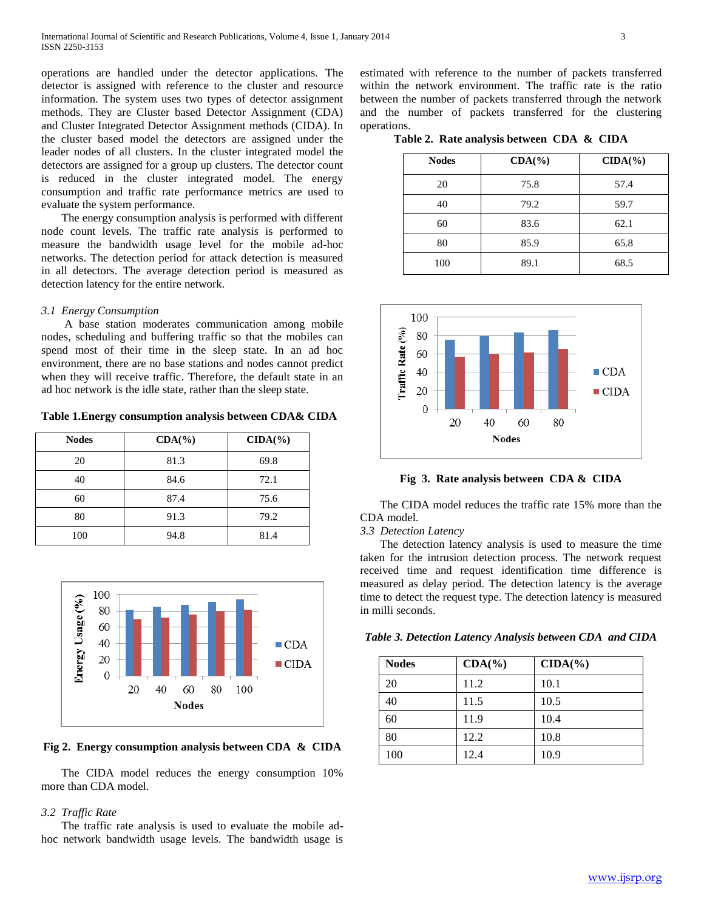operations are handled under the detector applications. The detector is assigned with reference to the cluster and resource information. The system uses two types of detector assignment methods. They are Cluster based Detector Assignment (CDA) and Cluster Integrated Detector Assignment methods (CIDA). In the cluster based model the detectors are assigned under the leader nodes of all clusters. In the cluster integrated model the detectors are assigned for a group up clusters. The detector count is reduced in the cluster integrated model. The energy consumption and traffic rate performance metrics are used to evaluate the system performance.

 The energy consumption analysis is performed with different node count levels. The traffic rate analysis is performed to measure the bandwidth usage level for the mobile ad-hoc networks. The detection period for attack detection is measured in all detectors. The average detection period is measured as detection latency for the entire network.

## *3.1 Energy Consumption*

 A base station moderates communication among mobile nodes, scheduling and buffering traffic so that the mobiles can spend most of their time in the sleep state. In an ad hoc environment, there are no base stations and nodes cannot predict when they will receive traffic. Therefore, the default state in an ad hoc network is the idle state, rather than the sleep state.

**Table 1.Energy consumption analysis between CDA& CIDA**

| <b>Nodes</b> | $CDA(\% )$ | $CIDA(\% )$ |
|--------------|------------|-------------|
| 20           | 81.3       | 69.8        |
| 40           | 84.6       | 72.1        |
| 60           | 87.4       | 75.6        |
| 80           | 91.3       | 79.2        |
| 100          | 94.8       | 81.4        |



**Fig 2. Energy consumption analysis between CDA & CIDA**

 The CIDA model reduces the energy consumption 10% more than CDA model.

#### *3.2 Traffic Rate*

 The traffic rate analysis is used to evaluate the mobile adhoc network bandwidth usage levels. The bandwidth usage is

estimated with reference to the number of packets transferred within the network environment. The traffic rate is the ratio between the number of packets transferred through the network and the number of packets transferred for the clustering operations.

**Table 2. Rate analysis between CDA & CIDA**

| <b>Nodes</b> | $CDA(\% )$ | $CDA(\% )$ |
|--------------|------------|------------|
| 20           | 75.8       | 57.4       |
| 40           | 79.2       | 59.7       |
| 60           | 83.6       | 62.1       |
| 80           | 85.9       | 65.8       |
| 100          | 89.1       | 68.5       |



**Fig 3. Rate analysis between CDA & CIDA**

 The CIDA model reduces the traffic rate 15% more than the CDA model.

#### *3.3 Detection Latency*

 The detection latency analysis is used to measure the time taken for the intrusion detection process. The network request received time and request identification time difference is measured as delay period. The detection latency is the average time to detect the request type. The detection latency is measured in milli seconds.

| <b>Nodes</b> | $CDA(\% )$ | $CIDA(\% )$ |
|--------------|------------|-------------|
| 20           | 11.2       | 10.1        |
| 40           | 11.5       | 10.5        |
| 60           | 11.9       | 10.4        |
| 80           | 12.2       | 10.8        |
| 100          | 12.4       | 10.9        |

*Table 3. Detection Latency Analysis between CDA and CIDA*